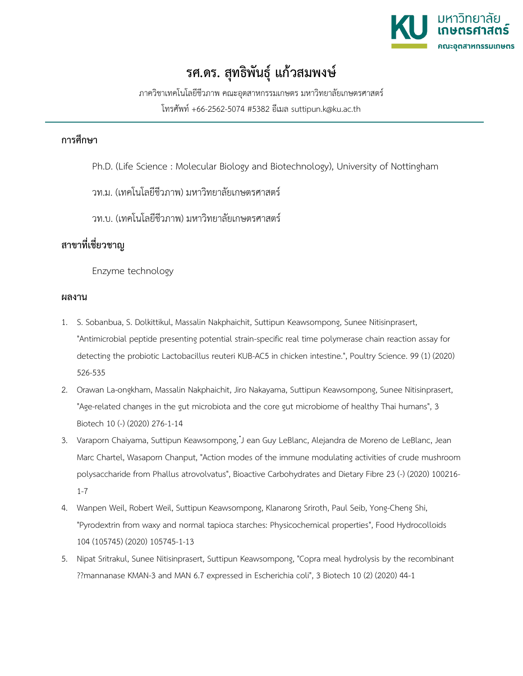

## **รศ.ดร. สุทธิพันธุ์ แก้วสมพงษ์**

ภาควิชาเทคโนโลยีชีวภาพ คณะอุตสาหกรรมเกษตร มหาวิทยาลัยเกษตรศาสตร์ โทรศัพท์ +66-2562-5074 #5382 อีเมล suttipun.k@ku.ac.th

## **การศึกษา**

- Ph.D. (Life Science : Molecular Biology and Biotechnology), University of Nottingham
- วท.ม. (เทคโนโลยีชีวภาพ) มหาวิทยาลัยเกษตรศาสตร์
- วท.บ. (เทคโนโลยีชีวภาพ) มหาวิทยาลัยเกษตรศาสตร์

## **สาขาที่เชี่ยวชาญ**

Enzyme technology

## **ผลงาน**

- 1. S. Sobanbua, S. Dolkittikul, Massalin Nakphaichit, Suttipun Keawsompong, Sunee Nitisinprasert, "Antimicrobial peptide presenting potential strain-specific real time polymerase chain reaction assay for detecting the probiotic Lactobacillus reuteri KUB-AC5 in chicken intestine.", Poultry Science. 99 (1) (2020) 526-535
- 2. Orawan La-ongkham, Massalin Nakphaichit, Jiro Nakayama, Suttipun Keawsompong, Sunee Nitisinprasert, "Age-related changes in the gut microbiota and the core gut microbiome of healthy Thai humans", 3 Biotech 10 (-) (2020) 276-1-14
- 3. Varaporn Chaiyama, Suttipun Keawsompong, ๋J ean Guy LeBlanc, Alejandra de Moreno de LeBlanc, Jean Marc Chartel, Wasaporn Chanput, "Action modes of the immune modulating activities of crude mushroom polysaccharide from Phallus atrovolvatus", Bioactive Carbohydrates and Dietary Fibre 23 (-) (2020) 100216- 1-7
- 4. Wanpen Weil, Robert Weil, Suttipun Keawsompong, Klanarong Sriroth, Paul Seib, Yong-Cheng Shi, "Pyrodextrin from waxy and normal tapioca starches: Physicochemical properties", Food Hydrocolloids 104 (105745) (2020) 105745-1-13
- 5. Nipat Sritrakul, Sunee Nitisinprasert, Suttipun Keawsompong, "Copra meal hydrolysis by the recombinant ??mannanase KMAN-3 and MAN 6.7 expressed in Escherichia coli", 3 Biotech 10 (2) (2020) 44-1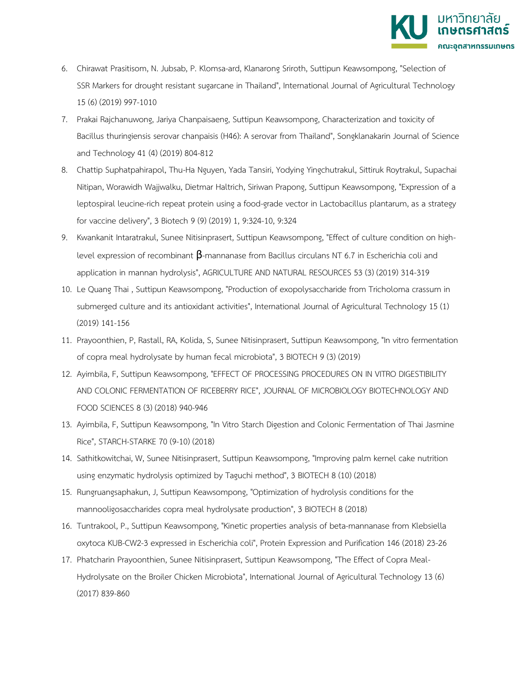

- 6. Chirawat Prasitisom, N. Jubsab, P. Klomsa-ard, Klanarong Sriroth, Suttipun Keawsompong, "Selection of SSR Markers for drought resistant sugarcane in Thailand", International Journal of Agricultural Technology 15 (6) (2019) 997-1010
- 7. Prakai Rajchanuwong, Jariya Chanpaisaeng, Suttipun Keawsompong, Characterization and toxicity of Bacillus thuringiensis serovar chanpaisis (H46): A serovar from Thailand", Songklanakarin Journal of Science and Technology 41 (4) (2019) 804-812
- 8. Chattip Suphatpahirapol, Thu-Ha Nguyen, Yada Tansiri, Yodying Yingchutrakul, Sittiruk Roytrakul, Supachai Nitipan, Worawidh Wajjwalku, Dietmar Haltrich, Siriwan Prapong, Suttipun Keawsompong, "Expression of a leptospiral leucine-rich repeat protein using a food-grade vector in Lactobacillus plantarum, as a strategy for vaccine delivery", 3 Biotech 9 (9) (2019) 1, 9:324-10, 9:324
- 9. Kwankanit Intaratrakul, Sunee Nitisinprasert, Suttipun Keawsompong, "Effect of culture condition on highlevel expression of recombinant  $\beta$ -mannanase from Bacillus circulans NT 6.7 in Escherichia coli and application in mannan hydrolysis", AGRICULTURE AND NATURAL RESOURCES 53 (3) (2019) 314-319
- 10. Le Quang Thai , Suttipun Keawsompong, "Production of exopolysaccharide from Tricholoma crassum in submerged culture and its antioxidant activities", International Journal of Agricultural Technology 15 (1) (2019) 141-156
- 11. Prayoonthien, P, Rastall, RA, Kolida, S, Sunee Nitisinprasert, Suttipun Keawsompong, "In vitro fermentation of copra meal hydrolysate by human fecal microbiota", 3 BIOTECH 9 (3) (2019)
- 12. Ayimbila, F, Suttipun Keawsompong, "EFFECT OF PROCESSING PROCEDURES ON IN VITRO DIGESTIBILITY AND COLONIC FERMENTATION OF RICEBERRY RICE", JOURNAL OF MICROBIOLOGY BIOTECHNOLOGY AND FOOD SCIENCES 8 (3) (2018) 940-946
- 13. Ayimbila, F, Suttipun Keawsompong, "In Vitro Starch Digestion and Colonic Fermentation of Thai Jasmine Rice", STARCH-STARKE 70 (9-10) (2018)
- 14. Sathitkowitchai, W, Sunee Nitisinprasert, Suttipun Keawsompong, "Improving palm kernel cake nutrition using enzymatic hydrolysis optimized by Taguchi method", 3 BIOTECH 8 (10) (2018)
- 15. Rungruangsaphakun, J, Suttipun Keawsompong, "Optimization of hydrolysis conditions for the mannooligosaccharides copra meal hydrolysate production", 3 BIOTECH 8 (2018)
- 16. Tuntrakool, P., Suttipun Keawsompong, "Kinetic properties analysis of beta-mannanase from Klebsiella oxytoca KUB-CW2-3 expressed in Escherichia coli", Protein Expression and Purification 146 (2018) 23-26
- 17. Phatcharin Prayoonthien, Sunee Nitisinprasert, Suttipun Keawsompong, "The Effect of Copra Meal-Hydrolysate on the Broiler Chicken Microbiota", International Journal of Agricultural Technology 13 (6) (2017) 839-860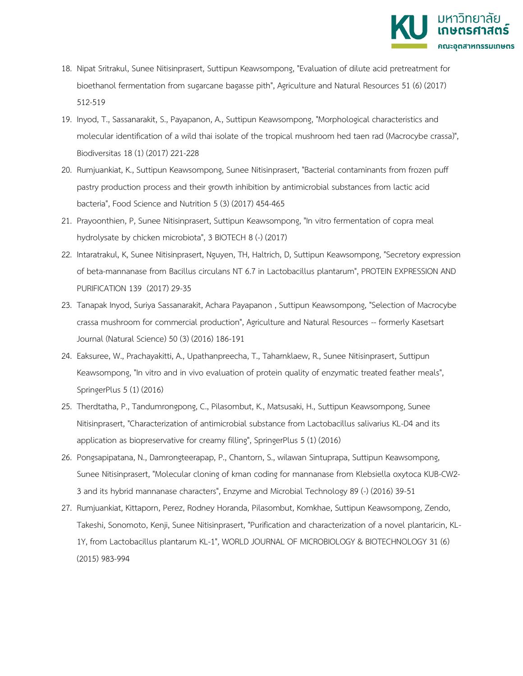

- 18. Nipat Sritrakul, Sunee Nitisinprasert, Suttipun Keawsompong, "Evaluation of dilute acid pretreatment for bioethanol fermentation from sugarcane bagasse pith", Agriculture and Natural Resources 51 (6) (2017) 512-519
- 19. Inyod, T., Sassanarakit, S., Payapanon, A., Suttipun Keawsompong, "Morphological characteristics and molecular identification of a wild thai isolate of the tropical mushroom hed taen rad (Macrocybe crassa)", Biodiversitas 18 (1) (2017) 221-228
- 20. Rumjuankiat, K., Suttipun Keawsompong, Sunee Nitisinprasert, "Bacterial contaminants from frozen puff pastry production process and their growth inhibition by antimicrobial substances from lactic acid bacteria", Food Science and Nutrition 5 (3) (2017) 454-465
- 21. Prayoonthien, P, Sunee Nitisinprasert, Suttipun Keawsompong, "In vitro fermentation of copra meal hydrolysate by chicken microbiota", 3 BIOTECH 8 (-) (2017)
- 22. Intaratrakul, K, Sunee Nitisinprasert, Nguyen, TH, Haltrich, D, Suttipun Keawsompong, "Secretory expression of beta-mannanase from Bacillus circulans NT 6.7 in Lactobacillus plantarum", PROTEIN EXPRESSION AND PURIFICATION 139 (2017) 29-35
- 23. Tanapak Inyod, Suriya Sassanarakit, Achara Payapanon , Suttipun Keawsompong, "Selection of Macrocybe crassa mushroom for commercial production", Agriculture and Natural Resources -- formerly Kasetsart Journal (Natural Science) 50 (3) (2016) 186-191
- 24. Eaksuree, W., Prachayakitti, A., Upathanpreecha, T., Taharnklaew, R., Sunee Nitisinprasert, Suttipun Keawsompong, "In vitro and in vivo evaluation of protein quality of enzymatic treated feather meals", SpringerPlus 5 (1) (2016)
- 25. Therdtatha, P., Tandumrongpong, C., Pilasombut, K., Matsusaki, H., Suttipun Keawsompong, Sunee Nitisinprasert, "Characterization of antimicrobial substance from Lactobacillus salivarius KL-D4 and its application as biopreservative for creamy filling", SpringerPlus 5 (1) (2016)
- 26. Pongsapipatana, N., Damrongteerapap, P., Chantorn, S., wilawan Sintuprapa, Suttipun Keawsompong, Sunee Nitisinprasert, "Molecular cloning of kman coding for mannanase from Klebsiella oxytoca KUB-CW2- 3 and its hybrid mannanase characters", Enzyme and Microbial Technology 89 (-) (2016) 39-51
- 27. Rumjuankiat, Kittaporn, Perez, Rodney Horanda, Pilasombut, Komkhae, Suttipun Keawsompong, Zendo, Takeshi, Sonomoto, Kenji, Sunee Nitisinprasert, "Purification and characterization of a novel plantaricin, KL-1Y, from Lactobacillus plantarum KL-1", WORLD JOURNAL OF MICROBIOLOGY & BIOTECHNOLOGY 31 (6) (2015) 983-994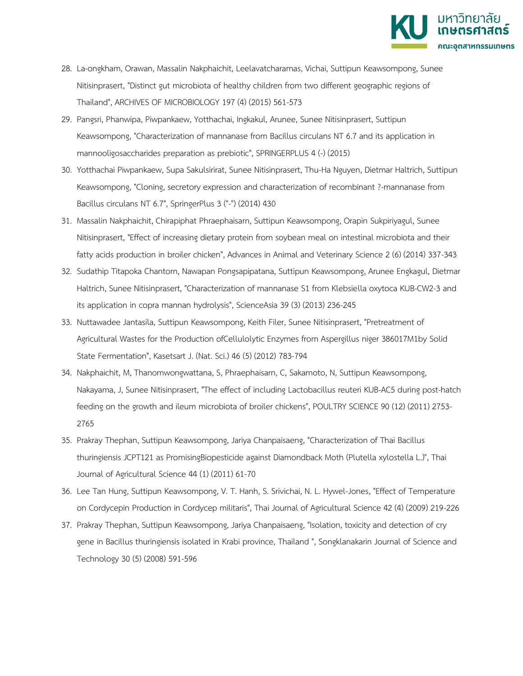

- 28. La-ongkham, Orawan, Massalin Nakphaichit, Leelavatcharamas, Vichai, Suttipun Keawsompong, Sunee Nitisinprasert, "Distinct gut microbiota of healthy children from two different geographic regions of Thailand", ARCHIVES OF MICROBIOLOGY 197 (4) (2015) 561-573
- 29. Pangsri, Phanwipa, Piwpankaew, Yotthachai, Ingkakul, Arunee, Sunee Nitisinprasert, Suttipun Keawsompong, "Characterization of mannanase from Bacillus circulans NT 6.7 and its application in mannooligosaccharides preparation as prebiotic", SPRINGERPLUS 4 (-) (2015)
- 30. Yotthachai Piwpankaew, Supa Sakulsirirat, Sunee Nitisinprasert, Thu-Ha Nguyen, Dietmar Haltrich, Suttipun Keawsompong, "Cloning, secretory expression and characterization of recombinant ?-mannanase from Bacillus circulans NT 6.7", SpringerPlus 3 ("-") (2014) 430
- 31. Massalin Nakphaichit, Chirapiphat Phraephaisarn, Suttipun Keawsompong, Orapin Sukpiriyagul, Sunee Nitisinprasert, "Effect of increasing dietary protein from soybean meal on intestinal microbiota and their fatty acids production in broiler chicken", Advances in Animal and Veterinary Science 2 (6) (2014) 337-343
- 32. Sudathip Titapoka Chantorn, Nawapan Pongsapipatana, Suttipun Keawsompong, Arunee Engkagul, Dietmar Haltrich, Sunee Nitisinprasert, "Characterization of mannanase S1 from Klebsiella oxytoca KUB-CW2-3 and its application in copra mannan hydrolysis", ScienceAsia 39 (3) (2013) 236-245
- 33. Nuttawadee Jantasila, Suttipun Keawsompong, Keith Filer, Sunee Nitisinprasert, "Pretreatment of Agricultural Wastes for the Production ofCellulolytic Enzymes from Aspergillus niger 386017M1by Solid State Fermentation", Kasetsart J. (Nat. Sci.) 46 (5) (2012) 783-794
- 34. Nakphaichit, M, Thanomwongwattana, S, Phraephaisarn, C, Sakamoto, N, Suttipun Keawsompong, Nakayama, J, Sunee Nitisinprasert, "The effect of including Lactobacillus reuteri KUB-AC5 during post-hatch feeding on the growth and ileum microbiota of broiler chickens", POULTRY SCIENCE 90 (12) (2011) 2753- 2765
- 35. Prakray Thephan, Suttipun Keawsompong, Jariya Chanpaisaeng, "Characterization of Thai Bacillus thuringiensis JCPT121 as PromisingBiopesticide against Diamondback Moth (Plutella xylostella L.)", Thai Journal of Agricultural Science 44 (1) (2011) 61-70
- 36. Lee Tan Hung, Suttipun Keawsompong, V. T. Hanh, S. Srivichai, N. L. Hywel-Jones, "Effect of Temperature on Cordycepin Production in Cordycep militaris", Thai Journal of Agricultural Science 42 (4) (2009) 219-226
- 37. Prakray Thephan, Suttipun Keawsompong, Jariya Chanpaisaeng, "Isolation, toxicity and detection of cry gene in Bacillus thuringiensis isolated in Krabi province, Thailand ", Songklanakarin Journal of Science and Technology 30 (5) (2008) 591-596